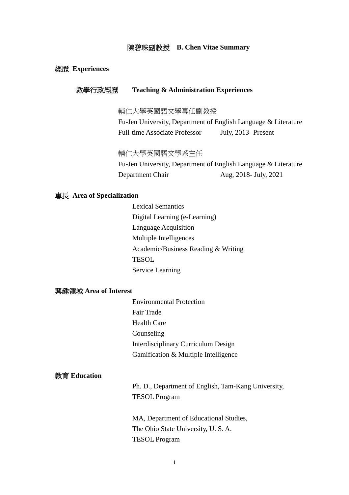### 陳碧珠副教授 **B. Chen Vitae Summary**

### 經歷 **Experiences**

# 教學行政經歷 **Teaching & Administration Experiences**

輔仁大學英國語文學專任副教授

Fu-Jen University, Department of English Language & Literature Full-time Associate Professor July, 2013- Present

# 輔仁大學英國語文學系主任

Fu-Jen University, Department of English Language & Literature Department Chair Aug, 2018- July, 2021

#### 專長 **Area of Specialization**

Lexical Semantics Digital Learning (e-Learning) Language Acquisition Multiple Intelligences Academic/Business Reading & Writing **TESOL** Service Learning

# 興趣領域 **Area of Interest**

Environmental Protection Fair Trade Health Care Counseling Interdisciplinary Curriculum Design Gamification & Multiple Intelligence

#### 教育 **Education**

Ph. D., Department of English, Tam-Kang University, TESOL Program

MA, Department of Educational Studies, The Ohio State University, U. S. A. TESOL Program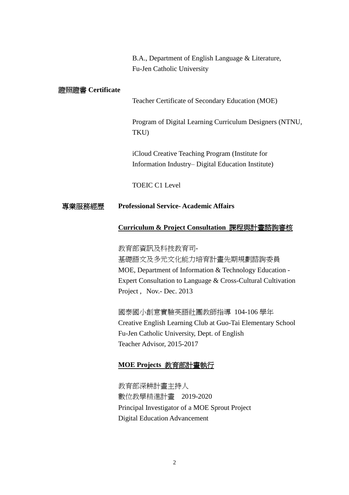B.A., Department of English Language & Literature, Fu-Jen Catholic University

### 證照證書 **Certificate**

Teacher Certificate of Secondary Education (MOE)

Program of Digital Learning Curriculum Designers (NTNU, TKU)

iCloud Creative Teaching Program (Institute for Information Industry–Digital Education Institute)

TOEIC C1 Level

### 專業服務經歷 **Professional Service- Academic Affairs**

### **Curriculum & Project Consultation** 課程與計畫諮詢審核

教育部資訊及科技教育司-基礎語文及多元文化能力培育計畫先期規劃諮詢委員 MOE, Department of Information & Technology Education - Expert Consultation to Language & Cross-Cultural Cultivation Project , Nov.- Dec. 2013

國泰國小創意實驗英語社團教師指導 104-106 學年 Creative English Learning Club at Guo-Tai Elementary School Fu-Jen Catholic University, Dept. of English Teacher Advisor, 2015-2017

# **MOE Projects** 教育部計畫執行

教育部深耕計畫主持人 數位教學精進計畫 2019-2020 Principal Investigator of a MOE Sprout Project Digital Education Advancement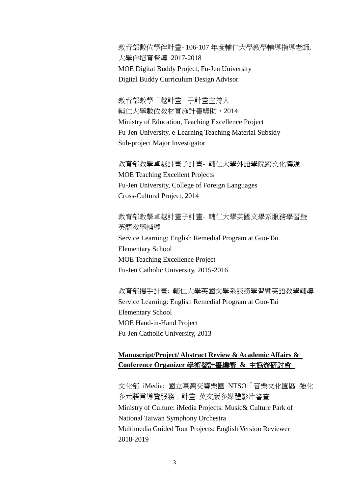教育部數位學伴計畫- 106-107 年度輔仁大學教學輔導指導老師, 大學伴培育督導 2017-2018 MOE Digital Buddy Project, Fu-Jen University Digital Buddy Curriculum Design Advisor

教育部教學卓越計畫- 子計畫主持人 輔仁大學數位教材實施計畫獎助,2014 Ministry of Education, Teaching Excellence Project Fu-Jen University, e-Learning Teaching Material Subsidy Sub-project Major Investigator

教育部教學卓越計畫子計畫- 輔仁大學外語學院跨文化溝通 MOE Teaching Excellent Projects Fu-Jen University, College of Foreign Languages Cross-Cultural Project, 2014

教育部教學卓越計畫子計畫- 輔仁大學英國文學系服務學習暨 英語教學輔導 Service Learning: English Remedial Program at Guo-Tai Elementary School MOE Teaching Excellence Project Fu-Jen Catholic University, 2015-2016

教育部攜手計畫: 輔仁大學英國文學系服務學習暨英語教學輔導 Service Learning: English Remedial Program at Guo-Tai Elementary School MOE Hand-in-Hand Project Fu-Jen Catholic University, 2013

# **Manuscript/Project/ Abstract Review & Academic Affairs & Conference Organizer** 學術暨計畫編審 **&** 主協辦研討會

文化部 iMedia: 國立臺灣交響樂團 NTSO「音樂文化園區 強化 多元語言導覽服務」計畫 英文版多媒體影片審查 Ministry of Culture: iMedia Projects: Music& Culture Park of National Taiwan Symphony Orchestra Multimedia Guided Tour Projects: English Version Reviewer 2018-2019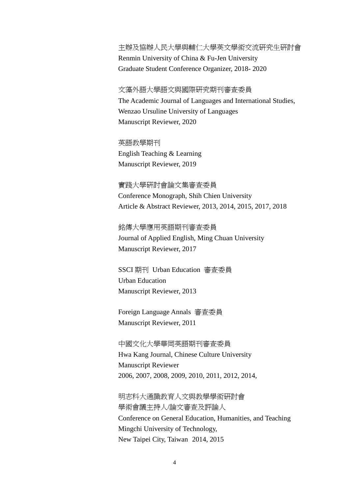# 主辦及協辦人民大學與輔仁大學英文學術交流研究生研討會 Renmin University of China & Fu-Jen University

Graduate Student Conference Organizer, 2018- 2020

# 文藻外語大學語文與國際研究期刊審查委員 The Academic Journal of Languages and International Studies, Wenzao Ursuline University of Languages

Manuscript Reviewer, 2020

# 英語教學期刊

English Teaching & Learning Manuscript Reviewer, 2019

實踐大學研討會論文集審查委員 Conference Monograph, Shih Chien University Article & Abstract Reviewer, 2013, 2014, 2015, 2017, 2018

銘傳大學應用英語期刊審查委員 Journal of Applied English, Ming Chuan University Manuscript Reviewer, 2017

SSCI 期刊 Urban Education 審查委員 Urban Education Manuscript Reviewer, 2013

Foreign Language Annals 審查委員 Manuscript Reviewer, 2011

中國文化大學華岡英語期刊審查委員 Hwa Kang Journal, Chinese Culture University Manuscript Reviewer 2006, 2007, 2008, 2009, 2010, 2011, 2012, 2014,

明志科大通識教育人文與教學學術研討會 學術會議主持人/論文審查及評論人 Conference on General Education, Humanities, and Teaching Mingchi University of Technology, New Taipei City, Taiwan 2014, 2015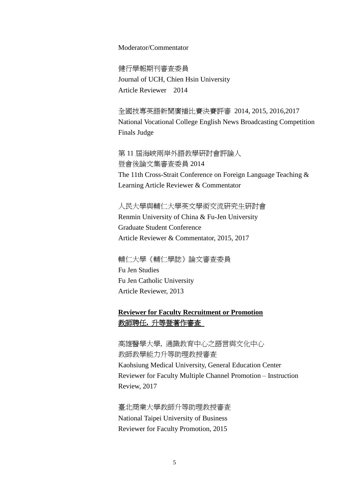### Moderator/Commentator

健行學報期刊審查委員 Journal of UCH, Chien Hsin University Article Reviewer 2014

全國技專英語新聞廣播比賽決賽評審 2014, 2015, 2016,2017 National Vocational College English News Broadcasting Competition Finals Judge

第 11 屆海峽兩岸外語教學研討會評論人 暨會後論文集審查委員 2014 The 11th Cross-Strait Conference on Foreign Language Teaching & Learning Article Reviewer & Commentator

人民大學與輔仁大學英文學術交流研究生研討會 Renmin University of China & Fu-Jen University Graduate Student Conference Article Reviewer & Commentator, 2015, 2017

輔仁大學《輔仁學誌》論文審查委員 Fu Jen Studies Fu Jen Catholic University Article Reviewer, 2013

# **Reviewer for Faculty Recruitment or Promotion** 教師聘任**,** 升等暨著作審查

高雄醫學大學, 通識教育中心之語言與文化中心 教師教學能力升等助理教授審查 Kaohsiung Medical University, General Education Center Reviewer for Faculty Multiple Channel Promotion –Instruction Review, 2017

臺北商業大學教師升等助理教授審查 National Taipei University of Business Reviewer for Faculty Promotion, 2015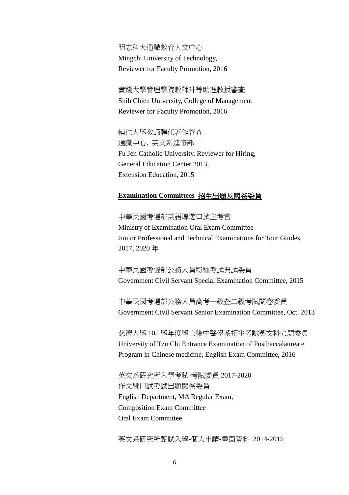明志科大通識教育人文中心 Mingchi University of Technology, Reviewer for Faculty Promotion, 2016

實踐大學管理學院教師升等助理教授審查 Shih Chien University, College of Management Reviewer for Faculty Promotion, 2016

輔仁大學教師聘任著作審查 通識中心, 英文系進修部 Fu Jen Catholic University, Reviewer for Hiring, General Education Center 2013, Extension Education, 2015

# **Examination Committees** 招生出題及閱卷委員

中華民國考選部英語導遊口試主考官 Ministry of Examination Oral Exam Committee Junior Professional and Technical Examinations for Tour Guides, 2017, 2020 年

中華民國考選部公務人員特種考試典試委員 Government Civil Servant Special Examination Committee, 2015

中華民國考選部公務人員高考一級暨二級考試閱卷委員 Government Civil Servant Senior Examination Committee, Oct. 2013

慈濟大學 105 學年度學士後中醫學系招生考試英文科命題委員 University of Tzu Chi Entrance Examination of Postbaccalaureate Program in Chinese medicine, English Exam Committee, 2016

英文系研究所入學考試-考試委員 2017-2020 作文暨口試考試出題閱卷委員 English Department, MA Regular Exam, Composition Exam Committee Oral Exam Committee

英文系研究所甄試入學-個人申請-書面資料 2014-2015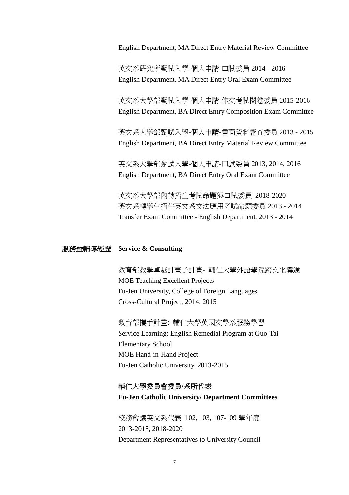English Department, MA Direct Entry Material Review Committee

英文系研究所甄試入學-個人申請-口試委員 2014 - 2016 English Department, MA Direct Entry Oral Exam Committee

英文系大學部甄試入學-個人申請-作文考試閱卷委員 2015-2016 English Department, BA Direct Entry Composition Exam Committee

英文系大學部甄試入學-個人申請-書面資料審查委員 2013 - 2015 English Department, BA Direct Entry Material Review Committee

英文系大學部甄試入學-個人申請-口試委員 2013, 2014, 2016 English Department, BA Direct Entry Oral Exam Committee

英文系大學部內轉招生考試命題與口試委員 2018-2020 英文系轉學生招生英文系文法應用考試命題委員 2013 - 2014 Transfer Exam Committee - English Department, 2013 - 2014

# 服務暨輔導經歷 **Service & Consulting**

教育部教學卓越計畫子計畫- 輔仁大學外語學院跨文化溝通 MOE Teaching Excellent Projects Fu-Jen University, College of Foreign Languages Cross-Cultural Project, 2014, 2015

教育部攜手計畫: 輔仁大學英國文學系服務學習 Service Learning: English Remedial Program at Guo-Tai Elementary School MOE Hand-in-Hand Project Fu-Jen Catholic University, 2013-2015

# 輔仁大學委員會委員**/**系所代表

**Fu-Jen Catholic University/ Department Committees**

校務會議英文系代表 102, 103, 107-109 學年度 2013-2015, 2018-2020 Department Representatives to University Council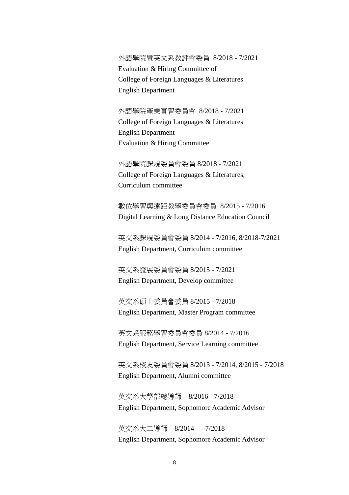外語學院暨英文系教評會委員 8/2018 - 7/2021 Evaluation & Hiring Committee of College of Foreign Languages & Literatures English Department

外語學院產業實習委員會 8/2018 - 7/2021 College of Foreign Languages & Literatures English Department Evaluation & Hiring Committee

外語學院課規委員會委員 8/2018 - 7/2021 College of Foreign Languages & Literatures, Curriculum committee

數位學習與遠距教學委員會委員 8/2015 - 7/2016 Digital Learning & Long Distance Education Council

英文系課規委員會委員 8/2014 - 7/2016, 8/2018-7/2021 English Department, Curriculum committee

英文系發展委員會委員 8/2015 - 7/2021 English Department, Develop committee

英文系碩士委員會委員 8/2015 - 7/2018 English Department, Master Program committee

英文系服務學習委員會委員 8/2014 - 7/2016 English Department, Service Learning committee

英文系校友委員會委員 8/2013 - 7/2014, 8/2015 - 7/2018 English Department, Alumni committee

英文系大學部總導師 8/2016 - 7/2018 English Department, Sophomore Academic Advisor

英文系大二導師 8/2014 - 7/2018 English Department, Sophomore Academic Advisor